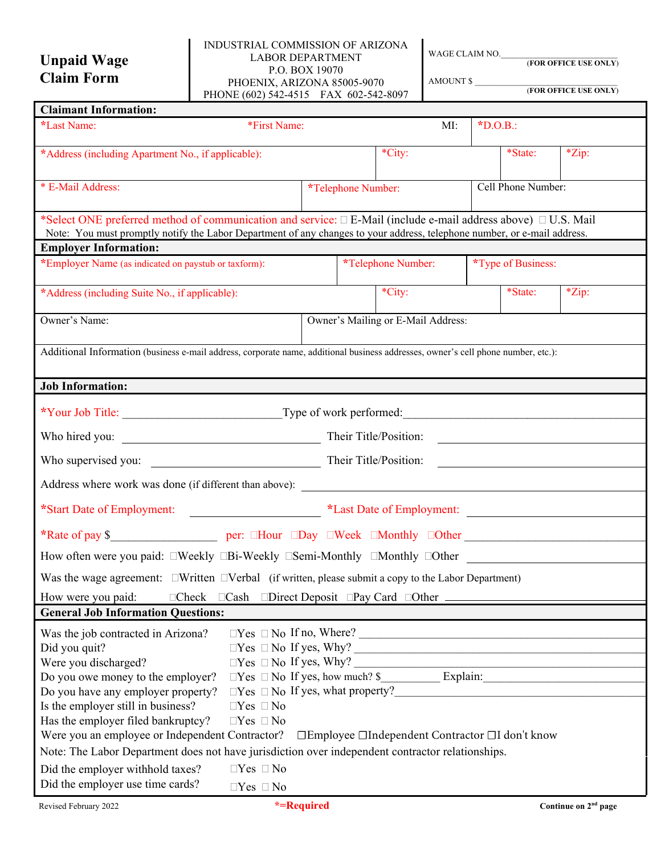# **Unpaid Wage Claim Form**

#### INDUSTRIAL COMMISSION OF ARIZONA LABOR DEPARTMENT P.O. BOX 19070 PHOENIX, ARIZONA 85005-9070 PHONE (602) 542-4515 FAX 602-542-8097

WAGE CLAIM NO.

AMOUNT \$

(**FOR OFFICE USE ONLY**)

| (FOR OFFICE USE ONLY) |  |
|-----------------------|--|

| <b>Claimant Information:</b>                                                                                                                                                                                                                         |                                    |                                                                                   |           |                    |                                                                                                                      |
|------------------------------------------------------------------------------------------------------------------------------------------------------------------------------------------------------------------------------------------------------|------------------------------------|-----------------------------------------------------------------------------------|-----------|--------------------|----------------------------------------------------------------------------------------------------------------------|
| *First Name:<br>*Last Name:                                                                                                                                                                                                                          |                                    | MI:                                                                               | $*D.O.B.$ |                    |                                                                                                                      |
| *Address (including Apartment No., if applicable):                                                                                                                                                                                                   |                                    | *City:                                                                            |           | *State:            | *Zip:                                                                                                                |
| * E-Mail Address:                                                                                                                                                                                                                                    |                                    | *Telephone Number:                                                                |           | Cell Phone Number: |                                                                                                                      |
| *Select ONE preferred method of communication and service: $\Box$ E-Mail (include e-mail address above) $\Box$ U.S. Mail<br>Note: You must promptly notify the Labor Department of any changes to your address, telephone number, or e-mail address. |                                    |                                                                                   |           |                    |                                                                                                                      |
| <b>Employer Information:</b>                                                                                                                                                                                                                         |                                    |                                                                                   |           |                    |                                                                                                                      |
| *Employer Name (as indicated on paystub or taxform):                                                                                                                                                                                                 |                                    | *Telephone Number:                                                                |           | *Type of Business: |                                                                                                                      |
| *Address (including Suite No., if applicable):                                                                                                                                                                                                       |                                    | *City:                                                                            |           | *State:            | *Zip:                                                                                                                |
| Owner's Name:                                                                                                                                                                                                                                        | Owner's Mailing or E-Mail Address: |                                                                                   |           |                    |                                                                                                                      |
| Additional Information (business e-mail address, corporate name, additional business addresses, owner's cell phone number, etc.):                                                                                                                    |                                    |                                                                                   |           |                    |                                                                                                                      |
| <b>Job Information:</b>                                                                                                                                                                                                                              |                                    |                                                                                   |           |                    |                                                                                                                      |
|                                                                                                                                                                                                                                                      |                                    |                                                                                   |           |                    |                                                                                                                      |
|                                                                                                                                                                                                                                                      |                                    |                                                                                   |           |                    |                                                                                                                      |
|                                                                                                                                                                                                                                                      |                                    |                                                                                   |           |                    | <u> 1980 - Jan Samuel Barbara, martin di sebagai personal di sebagai personal di sebagai personal di sebagai per</u> |
|                                                                                                                                                                                                                                                      |                                    |                                                                                   |           |                    |                                                                                                                      |
| *Start Date of Employment:<br>*Last Date of Employment:                                                                                                                                                                                              |                                    |                                                                                   |           |                    |                                                                                                                      |
|                                                                                                                                                                                                                                                      |                                    |                                                                                   |           |                    |                                                                                                                      |
| How often were you paid: □Weekly □Bi-Weekly □Semi-Monthly □Monthly □Other                                                                                                                                                                            |                                    |                                                                                   |           |                    |                                                                                                                      |
| Was the wage agreement: UWritten UVerbal (if written, please submit a copy to the Labor Department)                                                                                                                                                  |                                    |                                                                                   |           |                    |                                                                                                                      |
| $\Box$ Check $\Box$ Cash $\Box$ Direct Deposit $\Box$ Pay Card $\Box$ Other $\Box$<br>How were you paid:<br><b>General Job Information Questions:</b>                                                                                                |                                    |                                                                                   |           |                    |                                                                                                                      |
| Was the job contracted in Arizona?<br>Did you quit?<br>Were you discharged?<br>Do you owe money to the employer?<br>Do you have any employer property?<br>Is the employer still in business?<br>$\Box Yes \Box No$                                   |                                    | $\Box$ Yes $\Box$ No If no, Where?<br>$\Box$ Yes $\Box$ No If yes, what property? |           |                    |                                                                                                                      |
| Has the employer filed bankruptcy?<br>$\Box Yes \Box No$<br>Were you an employee or Independent Contractor?<br>Note: The Labor Department does not have jurisdiction over independent contractor relationships.                                      |                                    | □Employee □Independent Contractor □I don't know                                   |           |                    |                                                                                                                      |
| $\Box Yes \Box No$<br>Did the employer withhold taxes?<br>Did the employer use time cards?<br>$\Box Yes \Box No$                                                                                                                                     |                                    |                                                                                   |           |                    |                                                                                                                      |